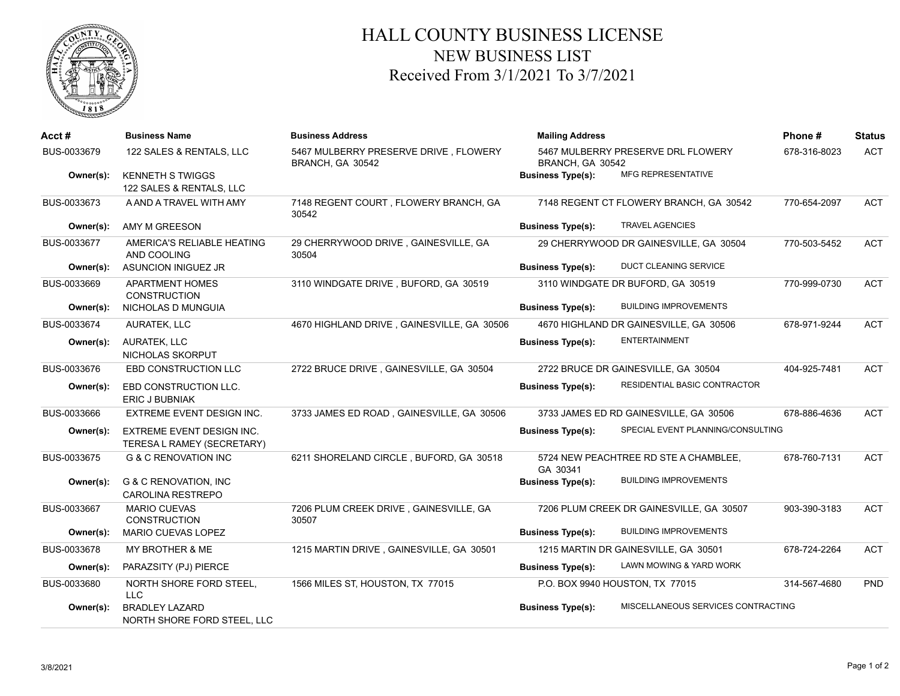

## HALL COUNTY BUSINESS LICENSE NEW BUSINESS LIST Received From 3/1/2021 To 3/7/2021

| Acct#       | <b>Business Name</b>                                           | <b>Business Address</b>                                   | <b>Mailing Address</b>                                 |                                          | Phone#       | <b>Status</b> |
|-------------|----------------------------------------------------------------|-----------------------------------------------------------|--------------------------------------------------------|------------------------------------------|--------------|---------------|
| BUS-0033679 | 122 SALES & RENTALS, LLC                                       | 5467 MULBERRY PRESERVE DRIVE, FLOWERY<br>BRANCH, GA 30542 | 5467 MULBERRY PRESERVE DRL FLOWERY<br>BRANCH, GA 30542 | 678-316-8023                             | <b>ACT</b>   |               |
| Owner(s):   | <b>KENNETH S TWIGGS</b><br>122 SALES & RENTALS, LLC            |                                                           | <b>Business Type(s):</b>                               | <b>MFG REPRESENTATIVE</b>                |              |               |
| BUS-0033673 | A AND A TRAVEL WITH AMY                                        | 7148 REGENT COURT, FLOWERY BRANCH, GA<br>30542            |                                                        | 7148 REGENT CT FLOWERY BRANCH, GA 30542  | 770-654-2097 | <b>ACT</b>    |
| Owner(s):   | AMY M GREESON                                                  |                                                           | <b>Business Type(s):</b>                               | <b>TRAVEL AGENCIES</b>                   |              |               |
| BUS-0033677 | AMERICA'S RELIABLE HEATING<br>AND COOLING                      | 29 CHERRYWOOD DRIVE, GAINESVILLE, GA<br>30504             |                                                        | 29 CHERRYWOOD DR GAINESVILLE, GA 30504   | 770-503-5452 | <b>ACT</b>    |
| Owner(s):   | ASUNCION INIGUEZ JR                                            |                                                           | <b>Business Type(s):</b>                               | <b>DUCT CLEANING SERVICE</b>             |              |               |
| BUS-0033669 | <b>APARTMENT HOMES</b><br><b>CONSTRUCTION</b>                  | 3110 WINDGATE DRIVE, BUFORD, GA 30519                     |                                                        | 3110 WINDGATE DR BUFORD, GA 30519        | 770-999-0730 | <b>ACT</b>    |
| Owner(s):   | NICHOLAS D MUNGUIA                                             |                                                           | <b>Business Type(s):</b>                               | <b>BUILDING IMPROVEMENTS</b>             |              |               |
| BUS-0033674 | <b>AURATEK, LLC</b>                                            | 4670 HIGHLAND DRIVE, GAINESVILLE, GA 30506                |                                                        | 4670 HIGHLAND DR GAINESVILLE, GA 30506   | 678-971-9244 | <b>ACT</b>    |
| Owner(s):   | <b>AURATEK, LLC</b><br>NICHOLAS SKORPUT                        |                                                           | <b>Business Type(s):</b>                               | <b>ENTERTAINMENT</b>                     |              |               |
| BUS-0033676 | EBD CONSTRUCTION LLC                                           | 2722 BRUCE DRIVE, GAINESVILLE, GA 30504                   |                                                        | 2722 BRUCE DR GAINESVILLE, GA 30504      | 404-925-7481 | <b>ACT</b>    |
| Owner(s):   | EBD CONSTRUCTION LLC.<br><b>ERIC J BUBNIAK</b>                 |                                                           | <b>Business Type(s):</b>                               | RESIDENTIAL BASIC CONTRACTOR             |              |               |
| BUS-0033666 | EXTREME EVENT DESIGN INC.                                      | 3733 JAMES ED ROAD, GAINESVILLE, GA 30506                 |                                                        | 3733 JAMES ED RD GAINESVILLE, GA 30506   | 678-886-4636 | <b>ACT</b>    |
| Owner(s):   | <b>EXTREME EVENT DESIGN INC.</b><br>TERESA L RAMEY (SECRETARY) |                                                           | <b>Business Type(s):</b>                               | SPECIAL EVENT PLANNING/CONSULTING        |              |               |
| BUS-0033675 | <b>G &amp; C RENOVATION INC</b>                                | 6211 SHORELAND CIRCLE, BUFORD, GA 30518                   | GA 30341                                               | 5724 NEW PEACHTREE RD STE A CHAMBLEE,    | 678-760-7131 | <b>ACT</b>    |
| Owner(s):   | <b>G &amp; C RENOVATION, INC</b><br><b>CAROLINA RESTREPO</b>   |                                                           | <b>Business Type(s):</b>                               | <b>BUILDING IMPROVEMENTS</b>             |              |               |
| BUS-0033667 | <b>MARIO CUEVAS</b><br><b>CONSTRUCTION</b>                     | 7206 PLUM CREEK DRIVE, GAINESVILLE, GA<br>30507           |                                                        | 7206 PLUM CREEK DR GAINESVILLE, GA 30507 | 903-390-3183 | <b>ACT</b>    |
| Owner(s):   | <b>MARIO CUEVAS LOPEZ</b>                                      |                                                           | <b>Business Type(s):</b>                               | <b>BUILDING IMPROVEMENTS</b>             |              |               |
| BUS-0033678 | MY BROTHER & ME                                                | 1215 MARTIN DRIVE, GAINESVILLE, GA 30501                  |                                                        | 1215 MARTIN DR GAINESVILLE, GA 30501     | 678-724-2264 | <b>ACT</b>    |
| Owner(s):   | PARAZSITY (PJ) PIERCE                                          |                                                           | <b>Business Type(s):</b>                               | LAWN MOWING & YARD WORK                  |              |               |
| BUS-0033680 | NORTH SHORE FORD STEEL,<br><b>LLC</b>                          | 1566 MILES ST, HOUSTON, TX 77015                          |                                                        | P.O. BOX 9940 HOUSTON, TX 77015          | 314-567-4680 | <b>PND</b>    |
| Owner(s):   | <b>BRADLEY LAZARD</b><br>NORTH SHORE FORD STEEL, LLC           |                                                           | <b>Business Type(s):</b>                               | MISCELLANEOUS SERVICES CONTRACTING       |              |               |